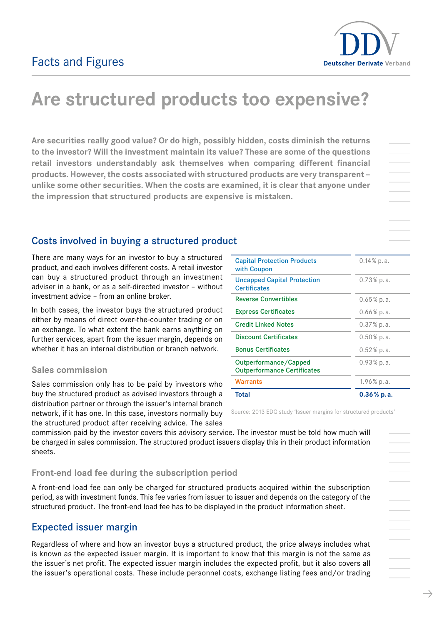

# Are structured products too expensive?

Are securities really good value? Or do high, possibly hidden, costs diminish the returns to the investor? Will the investment maintain its value? These are some of the questions retail investors understandably ask themselves when comparing different financial products. However, the costs associated with structured products are very transparent – unlike some other securities. When the costs are examined, it is clear that anyone under the impression that structured products are expensive is mistaken.

# Costs involved in buying a structured product

There are many ways for an investor to buy a structured product, and each involves different costs. A retail investor can buy a structured product through an investment adviser in a bank, or as a self-directed investor – without investment advice – from an online broker.

In both cases, the investor buys the structured product either by means of direct over-the-counter trading or on an exchange. To what extent the bank earns anything on further services, apart from the issuer margin, depends on whether it has an internal distribution or branch network.

# Sales commission

Sales commission only has to be paid by investors who buy the structured product as advised investors through a distribution partner or through the issuer's internal branch network, if it has one. In this case, investors normally buy the structured product after receiving advice. The sales

| <b>Capital Protection Products</b><br>with Coupon           | $0.14\%$ p.a. |
|-------------------------------------------------------------|---------------|
| <b>Uncapped Capital Protection</b><br><b>Certificates</b>   | $0.73\%$ p.a. |
| <b>Reverse Convertibles</b>                                 | $0.65%$ p.a.  |
| <b>Express Certificates</b>                                 | $0.66\%$ p.a. |
| <b>Credit Linked Notes</b>                                  | $0.37\%$ p.a. |
| <b>Discount Certificates</b>                                | $0.50\%$ p.a. |
| <b>Bonus Certificates</b>                                   | $0.52\%$ p.a. |
| Outperformance/Capped<br><b>Outperformance Certificates</b> | $0.93\%$ p.a. |
| Warrants                                                    | 1.96% p.a.    |
| <b>Total</b>                                                | $0.36\%$ p.a. |

Source: 2013 EDG study 'Issuer margins for structured products'

commission paid by the investor covers this advisory service. The investor must be told how much will be charged in sales commission. The structured product issuers display this in their product information sheets.

# Front-end load fee during the subscription period

A front-end load fee can only be charged for structured products acquired within the subscription period, as with investment funds. This fee varies from issuer to issuer and depends on the category of the structured product. The front-end load fee has to be displayed in the product information sheet.

# Expected issuer margin

Regardless of where and how an investor buys a structured product, the price always includes what is known as the expected issuer margin. It is important to know that this margin is not the same as the issuer's net profit. The expected issuer margin includes the expected profit, but it also covers all the issuer's operational costs. These include personnel costs, exchange listing fees and/or trading

 $\rightarrow$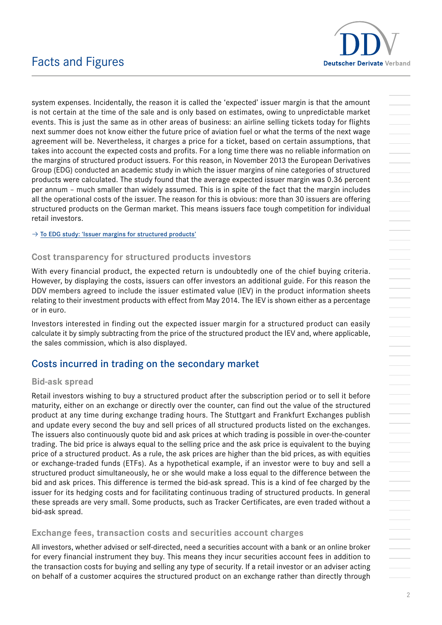

# Facts and Figures

system expenses. Incidentally, the reason it is called the 'expected' issuer margin is that the amount is not certain at the time of the sale and is only based on estimates, owing to unpredictable market events. This is just the same as in other areas of business: an airline selling tickets today for flights next summer does not know either the future price of aviation fuel or what the terms of the next wage agreement will be. Nevertheless, it charges a price for a ticket, based on certain assumptions, that takes into account the expected costs and profits. For a long time there was no reliable information on the margins of structured product issuers. For this reason, in November 2013 the European Derivatives Group (EDG) conducted an academic study in which the issuer margins of nine categories of structured products were calculated. The study found that the average expected issuer margin was 0.36 percent per annum – much smaller than widely assumed. This is in spite of the fact that the margin includes all the operational costs of the issuer. The reason for this is obvious: more than 30 issuers are offering structured products on the German market. This means issuers face tough competition for individual retail investors.

 $\rightarrow$  [To EDG study: 'Issuer margins for structured products'](http://derivateverband.de/ENG/Publications/StudiesAndReports)

## Cost transparency for structured products investors

With every financial product, the expected return is undoubtedly one of the chief buying criteria. However, by displaying the costs, issuers can offer investors an additional guide. For this reason the DDV members agreed to include the issuer estimated value (IEV) in the product information sheets relating to their investment products with effect from May 2014. The IEV is shown either as a percentage or in euro.

Investors interested in finding out the expected issuer margin for a structured product can easily calculate it by simply subtracting from the price of the structured product the IEV and, where applicable, the sales commission, which is also displayed.

# Costs incurred in trading on the secondary market

### Bid-ask spread

Retail investors wishing to buy a structured product after the subscription period or to sell it before maturity, either on an exchange or directly over the counter, can find out the value of the structured product at any time during exchange trading hours. The Stuttgart and Frankfurt Exchanges publish and update every second the buy and sell prices of all structured products listed on the exchanges. The issuers also continuously quote bid and ask prices at which trading is possible in over-the-counter trading. The bid price is always equal to the selling price and the ask price is equivalent to the buying price of a structured product. As a rule, the ask prices are higher than the bid prices, as with equities or exchange-traded funds (ETFs). As a hypothetical example, if an investor were to buy and sell a structured product simultaneously, he or she would make a loss equal to the difference between the bid and ask prices. This difference is termed the bid-ask spread. This is a kind of fee charged by the issuer for its hedging costs and for facilitating continuous trading of structured products. In general these spreads are very small. Some products, such as Tracker Certificates, are even traded without a bid-ask spread.

### Exchange fees, transaction costs and securities account charges

All investors, whether advised or self-directed, need a securities account with a bank or an online broker for every financial instrument they buy. This means they incur securities account fees in addition to the transaction costs for buying and selling any type of security. If a retail investor or an adviser acting on behalf of a customer acquires the structured product on an exchange rather than directly through